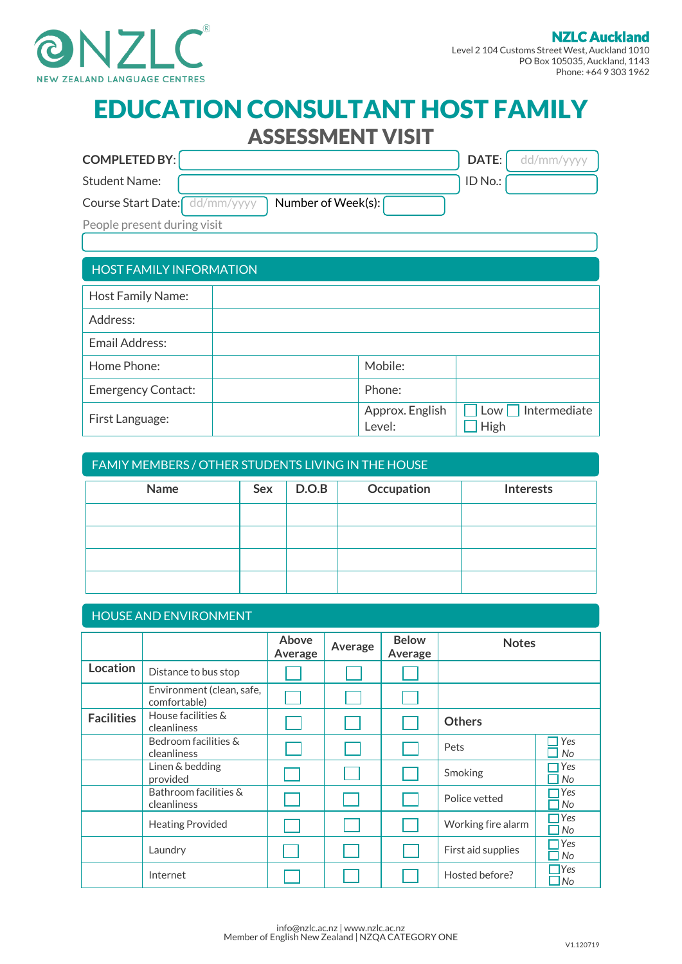

# l EDUCATION CONSULTANT HOST FAMILY ASSESSMENT VISIT

| <b>COMPLETED BY:</b>                                |  |                           | DATE:         | dd/mm/yyyy   |  |
|-----------------------------------------------------|--|---------------------------|---------------|--------------|--|
| <b>Student Name:</b>                                |  |                           | ID No.:       |              |  |
| Number of Week(s):<br>Course Start Date: dd/mm/yyyy |  |                           |               |              |  |
| People present during visit                         |  |                           |               |              |  |
|                                                     |  |                           |               |              |  |
| <b>HOST FAMILY INFORMATION</b>                      |  |                           |               |              |  |
| Host Family Name:                                   |  |                           |               |              |  |
| Address:                                            |  |                           |               |              |  |
| <b>Email Address:</b>                               |  |                           |               |              |  |
| Home Phone:                                         |  | Mobile:                   |               |              |  |
| <b>Emergency Contact:</b>                           |  | Phone:                    |               |              |  |
| First Language:                                     |  | Approx. English<br>Level: | Low I<br>High | Intermediate |  |

## FAMIY MEMBERS / OTHER STUDENTS LIVING IN THE HOUSE

| Name | Sex | D.O.B | Occupation | Interests |
|------|-----|-------|------------|-----------|
|      |     |       |            |           |
|      |     |       |            |           |
|      |     |       |            |           |
|      |     |       |            |           |

## HOUSE AND ENVIRONMENT

|                   |                                           | <b>Above</b><br>Average | Average | <b>Below</b><br>Average | <b>Notes</b>       |                      |
|-------------------|-------------------------------------------|-------------------------|---------|-------------------------|--------------------|----------------------|
| Location          | Distance to bus stop                      |                         |         |                         |                    |                      |
|                   | Environment (clean, safe,<br>comfortable) |                         |         |                         |                    |                      |
| <b>Facilities</b> | House facilities &<br>cleanliness         |                         |         |                         | <b>Others</b>      |                      |
|                   | Bedroom facilities &<br>cleanliness       |                         |         |                         | Pets               | Yes<br>No            |
|                   | Linen & bedding<br>provided               |                         |         |                         | Smoking            | Yes<br>No            |
|                   | Bathroom facilities &<br>cleanliness      |                         |         |                         | Police vetted      | Yes<br><b>No</b>     |
|                   | <b>Heating Provided</b>                   |                         |         |                         | Working fire alarm | Yes<br>No            |
|                   | Laundry                                   |                         |         |                         | First aid supplies | Yes<br>No            |
|                   | Internet                                  |                         |         |                         | Hosted before?     | <b>T</b> Yes<br>l No |